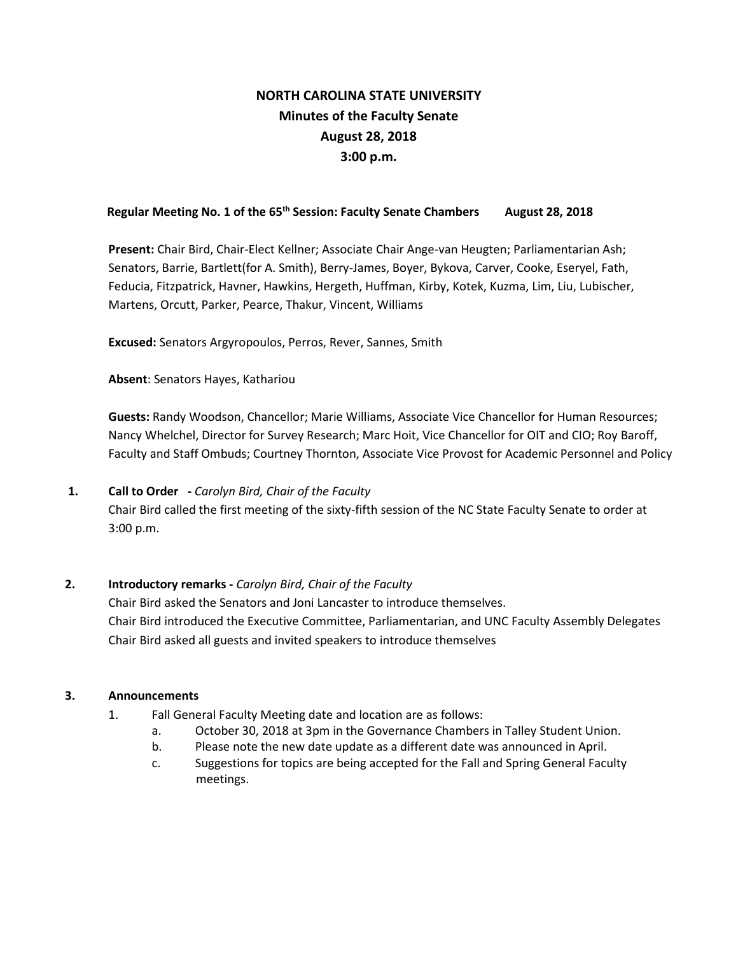# **NORTH CAROLINA STATE UNIVERSITY Minutes of the Faculty Senate August 28, 2018 3:00 p.m.**

# Regular Meeting No. 1 of the 65<sup>th</sup> Session: Faculty Senate Chambers August 28, 2018

**Present:** Chair Bird, Chair-Elect Kellner; Associate Chair Ange-van Heugten; Parliamentarian Ash; Senators, Barrie, Bartlett(for A. Smith), Berry-James, Boyer, Bykova, Carver, Cooke, Eseryel, Fath, Feducia, Fitzpatrick, Havner, Hawkins, Hergeth, Huffman, Kirby, Kotek, Kuzma, Lim, Liu, Lubischer, Martens, Orcutt, Parker, Pearce, Thakur, Vincent, Williams

**Excused:** Senators Argyropoulos, Perros, Rever, Sannes, Smith

**Absent**: Senators Hayes, Kathariou

**Guests:** Randy Woodson, Chancellor; Marie Williams, Associate Vice Chancellor for Human Resources; Nancy Whelchel, Director for Survey Research; Marc Hoit, Vice Chancellor for OIT and CIO; Roy Baroff, Faculty and Staff Ombuds; Courtney Thornton, Associate Vice Provost for Academic Personnel and Policy

# **1. Call to Order -** *Carolyn Bird, Chair of the Faculty* Chair Bird called the first meeting of the sixty-fifth session of the NC State Faculty Senate to order at 3:00 p.m.

# **2. Introductory remarks -** *Carolyn Bird, Chair of the Faculty*

Chair Bird asked the Senators and Joni Lancaster to introduce themselves. Chair Bird introduced the Executive Committee, Parliamentarian, and UNC Faculty Assembly Delegates Chair Bird asked all guests and invited speakers to introduce themselves

# **3. Announcements**

- 1. Fall General Faculty Meeting date and location are as follows:
	- a. October 30, 2018 at 3pm in the Governance Chambers in Talley Student Union.
	- b. Please note the new date update as a different date was announced in April.
	- c. Suggestions for topics are being accepted for the Fall and Spring General Faculty meetings.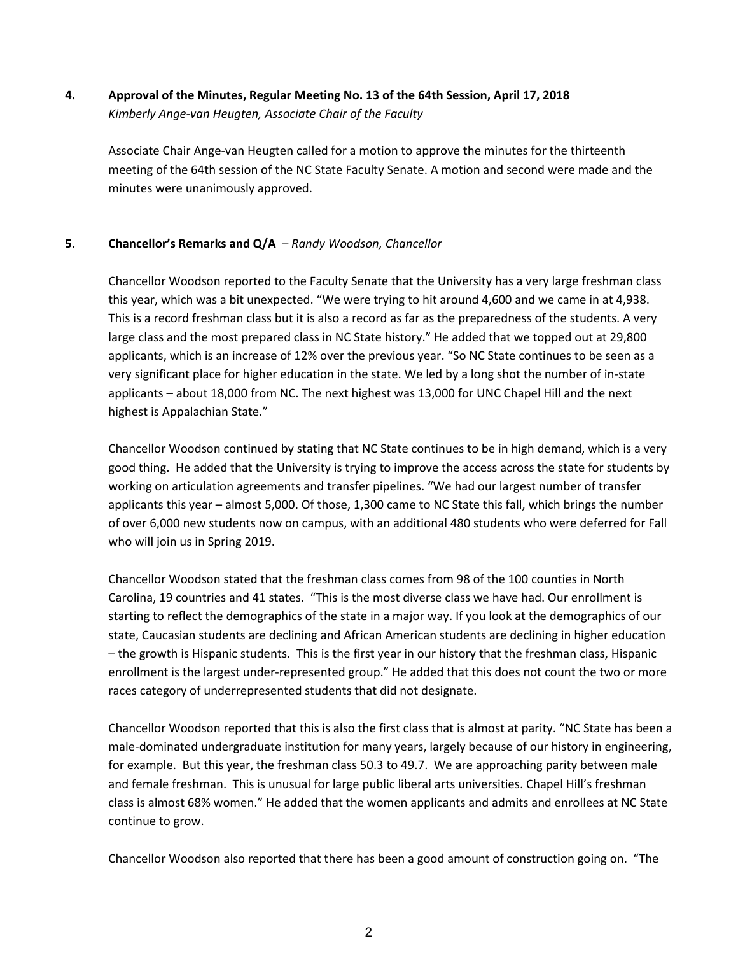# **4. Approval of the Minutes, Regular Meeting No. 13 of the 64th Session, April 17, 2018**  *Kimberly Ange-van Heugten, Associate Chair of the Faculty*

Associate Chair Ange-van Heugten called for a motion to approve the minutes for the thirteenth meeting of the 64th session of the NC State Faculty Senate. A motion and second were made and the minutes were unanimously approved.

# **5. Chancellor's Remarks and Q/A** – *Randy Woodson, Chancellor*

Chancellor Woodson reported to the Faculty Senate that the University has a very large freshman class this year, which was a bit unexpected. "We were trying to hit around 4,600 and we came in at 4,938. This is a record freshman class but it is also a record as far as the preparedness of the students. A very large class and the most prepared class in NC State history." He added that we topped out at 29,800 applicants, which is an increase of 12% over the previous year. "So NC State continues to be seen as a very significant place for higher education in the state. We led by a long shot the number of in-state applicants – about 18,000 from NC. The next highest was 13,000 for UNC Chapel Hill and the next highest is Appalachian State."

Chancellor Woodson continued by stating that NC State continues to be in high demand, which is a very good thing. He added that the University is trying to improve the access across the state for students by working on articulation agreements and transfer pipelines. "We had our largest number of transfer applicants this year – almost 5,000. Of those, 1,300 came to NC State this fall, which brings the number of over 6,000 new students now on campus, with an additional 480 students who were deferred for Fall who will join us in Spring 2019.

Chancellor Woodson stated that the freshman class comes from 98 of the 100 counties in North Carolina, 19 countries and 41 states. "This is the most diverse class we have had. Our enrollment is starting to reflect the demographics of the state in a major way. If you look at the demographics of our state, Caucasian students are declining and African American students are declining in higher education – the growth is Hispanic students. This is the first year in our history that the freshman class, Hispanic enrollment is the largest under-represented group." He added that this does not count the two or more races category of underrepresented students that did not designate.

Chancellor Woodson reported that this is also the first class that is almost at parity. "NC State has been a male-dominated undergraduate institution for many years, largely because of our history in engineering, for example. But this year, the freshman class 50.3 to 49.7. We are approaching parity between male and female freshman. This is unusual for large public liberal arts universities. Chapel Hill's freshman class is almost 68% women." He added that the women applicants and admits and enrollees at NC State continue to grow.

Chancellor Woodson also reported that there has been a good amount of construction going on. "The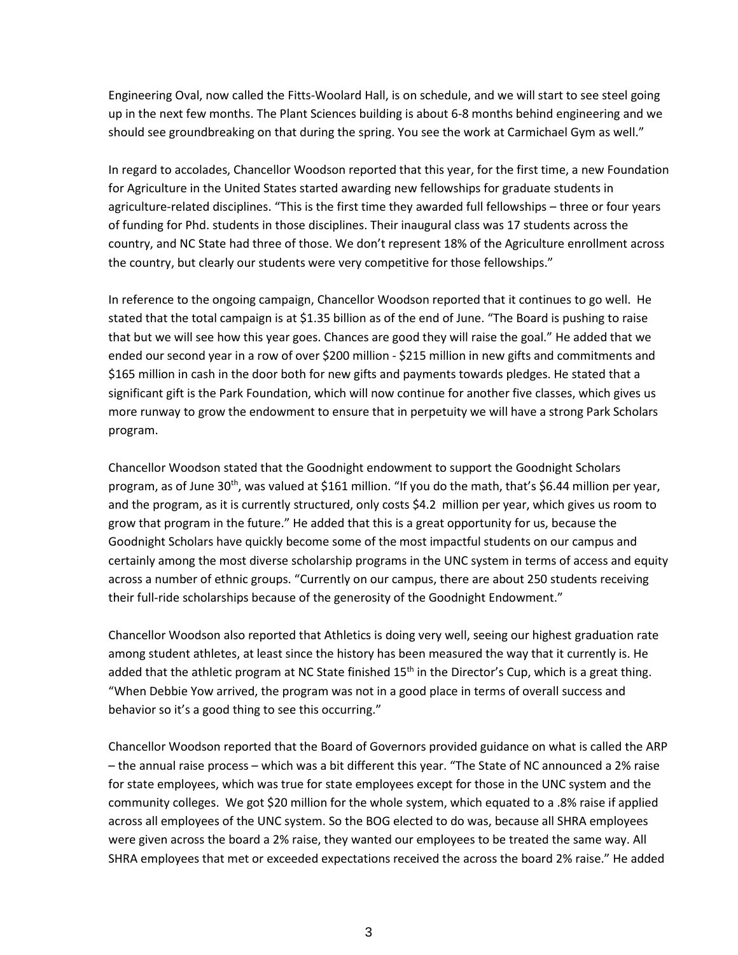Engineering Oval, now called the Fitts-Woolard Hall, is on schedule, and we will start to see steel going up in the next few months. The Plant Sciences building is about 6-8 months behind engineering and we should see groundbreaking on that during the spring. You see the work at Carmichael Gym as well."

In regard to accolades, Chancellor Woodson reported that this year, for the first time, a new Foundation for Agriculture in the United States started awarding new fellowships for graduate students in agriculture-related disciplines. "This is the first time they awarded full fellowships – three or four years of funding for Phd. students in those disciplines. Their inaugural class was 17 students across the country, and NC State had three of those. We don't represent 18% of the Agriculture enrollment across the country, but clearly our students were very competitive for those fellowships."

In reference to the ongoing campaign, Chancellor Woodson reported that it continues to go well. He stated that the total campaign is at \$1.35 billion as of the end of June. "The Board is pushing to raise that but we will see how this year goes. Chances are good they will raise the goal." He added that we ended our second year in a row of over \$200 million - \$215 million in new gifts and commitments and \$165 million in cash in the door both for new gifts and payments towards pledges. He stated that a significant gift is the Park Foundation, which will now continue for another five classes, which gives us more runway to grow the endowment to ensure that in perpetuity we will have a strong Park Scholars program.

Chancellor Woodson stated that the Goodnight endowment to support the Goodnight Scholars program, as of June 30<sup>th</sup>, was valued at \$161 million. "If you do the math, that's \$6.44 million per year, and the program, as it is currently structured, only costs \$4.2 million per year, which gives us room to grow that program in the future." He added that this is a great opportunity for us, because the Goodnight Scholars have quickly become some of the most impactful students on our campus and certainly among the most diverse scholarship programs in the UNC system in terms of access and equity across a number of ethnic groups. "Currently on our campus, there are about 250 students receiving their full-ride scholarships because of the generosity of the Goodnight Endowment."

Chancellor Woodson also reported that Athletics is doing very well, seeing our highest graduation rate among student athletes, at least since the history has been measured the way that it currently is. He added that the athletic program at NC State finished  $15<sup>th</sup>$  in the Director's Cup, which is a great thing. "When Debbie Yow arrived, the program was not in a good place in terms of overall success and behavior so it's a good thing to see this occurring."

Chancellor Woodson reported that the Board of Governors provided guidance on what is called the ARP – the annual raise process – which was a bit different this year. "The State of NC announced a 2% raise for state employees, which was true for state employees except for those in the UNC system and the community colleges. We got \$20 million for the whole system, which equated to a .8% raise if applied across all employees of the UNC system. So the BOG elected to do was, because all SHRA employees were given across the board a 2% raise, they wanted our employees to be treated the same way. All SHRA employees that met or exceeded expectations received the across the board 2% raise." He added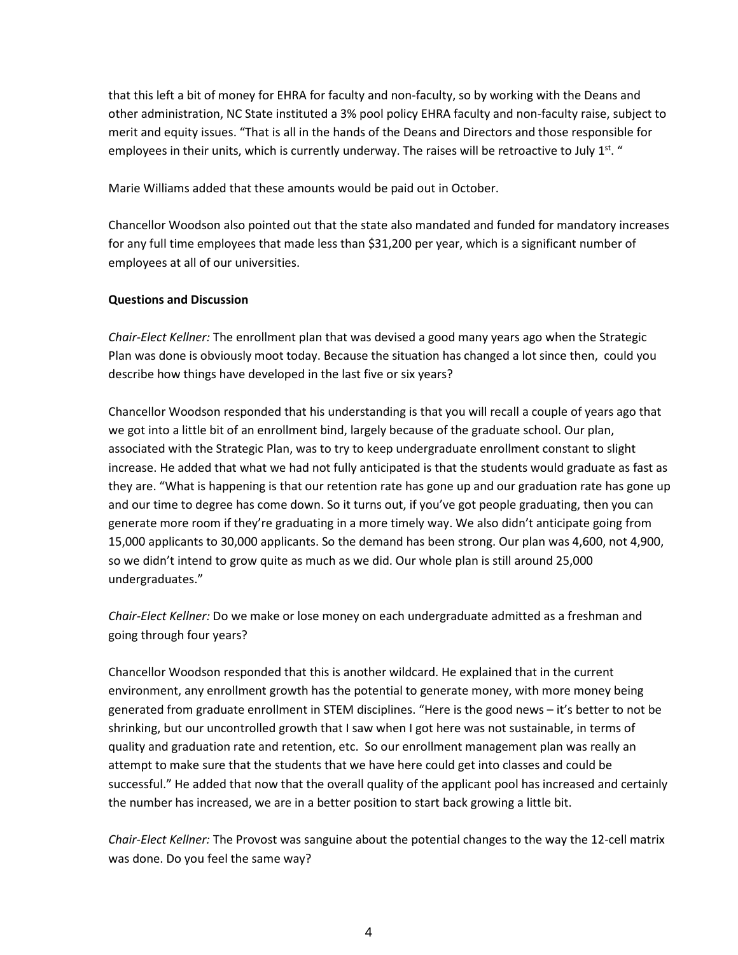that this left a bit of money for EHRA for faculty and non-faculty, so by working with the Deans and other administration, NC State instituted a 3% pool policy EHRA faculty and non-faculty raise, subject to merit and equity issues. "That is all in the hands of the Deans and Directors and those responsible for employees in their units, which is currently underway. The raises will be retroactive to July  $1^{st}$ . "

Marie Williams added that these amounts would be paid out in October.

Chancellor Woodson also pointed out that the state also mandated and funded for mandatory increases for any full time employees that made less than \$31,200 per year, which is a significant number of employees at all of our universities.

# **Questions and Discussion**

*Chair-Elect Kellner:* The enrollment plan that was devised a good many years ago when the Strategic Plan was done is obviously moot today. Because the situation has changed a lot since then, could you describe how things have developed in the last five or six years?

Chancellor Woodson responded that his understanding is that you will recall a couple of years ago that we got into a little bit of an enrollment bind, largely because of the graduate school. Our plan, associated with the Strategic Plan, was to try to keep undergraduate enrollment constant to slight increase. He added that what we had not fully anticipated is that the students would graduate as fast as they are. "What is happening is that our retention rate has gone up and our graduation rate has gone up and our time to degree has come down. So it turns out, if you've got people graduating, then you can generate more room if they're graduating in a more timely way. We also didn't anticipate going from 15,000 applicants to 30,000 applicants. So the demand has been strong. Our plan was 4,600, not 4,900, so we didn't intend to grow quite as much as we did. Our whole plan is still around 25,000 undergraduates."

*Chair-Elect Kellner:* Do we make or lose money on each undergraduate admitted as a freshman and going through four years?

Chancellor Woodson responded that this is another wildcard. He explained that in the current environment, any enrollment growth has the potential to generate money, with more money being generated from graduate enrollment in STEM disciplines. "Here is the good news – it's better to not be shrinking, but our uncontrolled growth that I saw when I got here was not sustainable, in terms of quality and graduation rate and retention, etc. So our enrollment management plan was really an attempt to make sure that the students that we have here could get into classes and could be successful." He added that now that the overall quality of the applicant pool has increased and certainly the number has increased, we are in a better position to start back growing a little bit.

*Chair-Elect Kellner:* The Provost was sanguine about the potential changes to the way the 12-cell matrix was done. Do you feel the same way?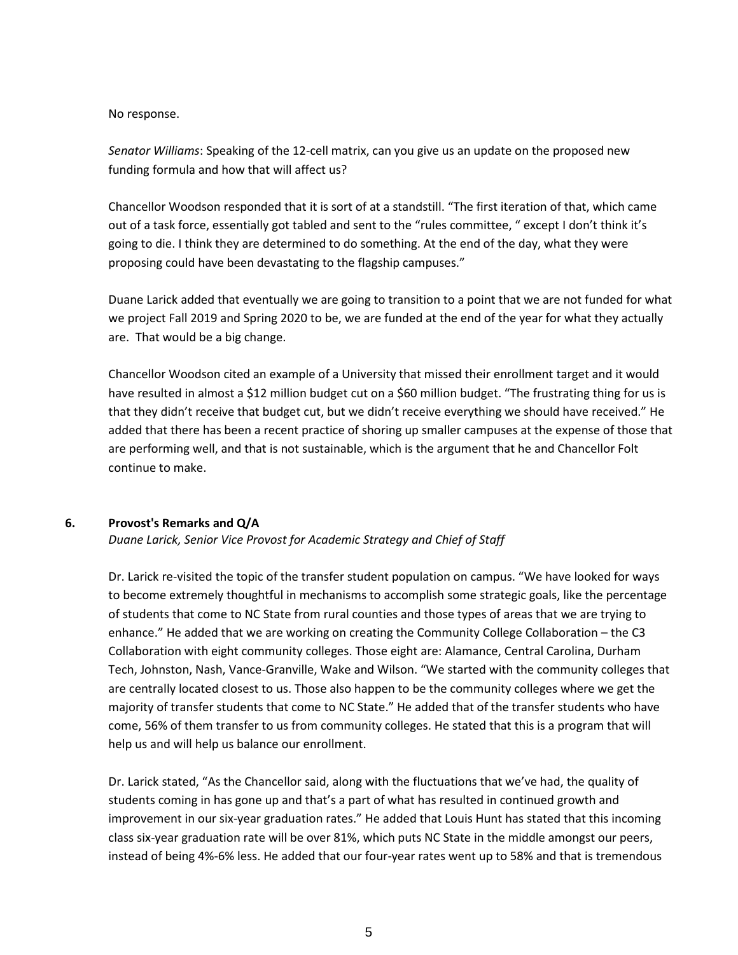#### No response.

*Senator Williams*: Speaking of the 12-cell matrix, can you give us an update on the proposed new funding formula and how that will affect us?

Chancellor Woodson responded that it is sort of at a standstill. "The first iteration of that, which came out of a task force, essentially got tabled and sent to the "rules committee, " except I don't think it's going to die. I think they are determined to do something. At the end of the day, what they were proposing could have been devastating to the flagship campuses."

Duane Larick added that eventually we are going to transition to a point that we are not funded for what we project Fall 2019 and Spring 2020 to be, we are funded at the end of the year for what they actually are. That would be a big change.

Chancellor Woodson cited an example of a University that missed their enrollment target and it would have resulted in almost a \$12 million budget cut on a \$60 million budget. "The frustrating thing for us is that they didn't receive that budget cut, but we didn't receive everything we should have received." He added that there has been a recent practice of shoring up smaller campuses at the expense of those that are performing well, and that is not sustainable, which is the argument that he and Chancellor Folt continue to make.

# **6. Provost's Remarks and Q/A**

*Duane Larick, Senior Vice Provost for Academic Strategy and Chief of Staff*

Dr. Larick re-visited the topic of the transfer student population on campus. "We have looked for ways to become extremely thoughtful in mechanisms to accomplish some strategic goals, like the percentage of students that come to NC State from rural counties and those types of areas that we are trying to enhance." He added that we are working on creating the Community College Collaboration – the C3 Collaboration with eight community colleges. Those eight are: Alamance, Central Carolina, Durham Tech, Johnston, Nash, Vance-Granville, Wake and Wilson. "We started with the community colleges that are centrally located closest to us. Those also happen to be the community colleges where we get the majority of transfer students that come to NC State." He added that of the transfer students who have come, 56% of them transfer to us from community colleges. He stated that this is a program that will help us and will help us balance our enrollment.

Dr. Larick stated, "As the Chancellor said, along with the fluctuations that we've had, the quality of students coming in has gone up and that's a part of what has resulted in continued growth and improvement in our six-year graduation rates." He added that Louis Hunt has stated that this incoming class six-year graduation rate will be over 81%, which puts NC State in the middle amongst our peers, instead of being 4%-6% less. He added that our four-year rates went up to 58% and that is tremendous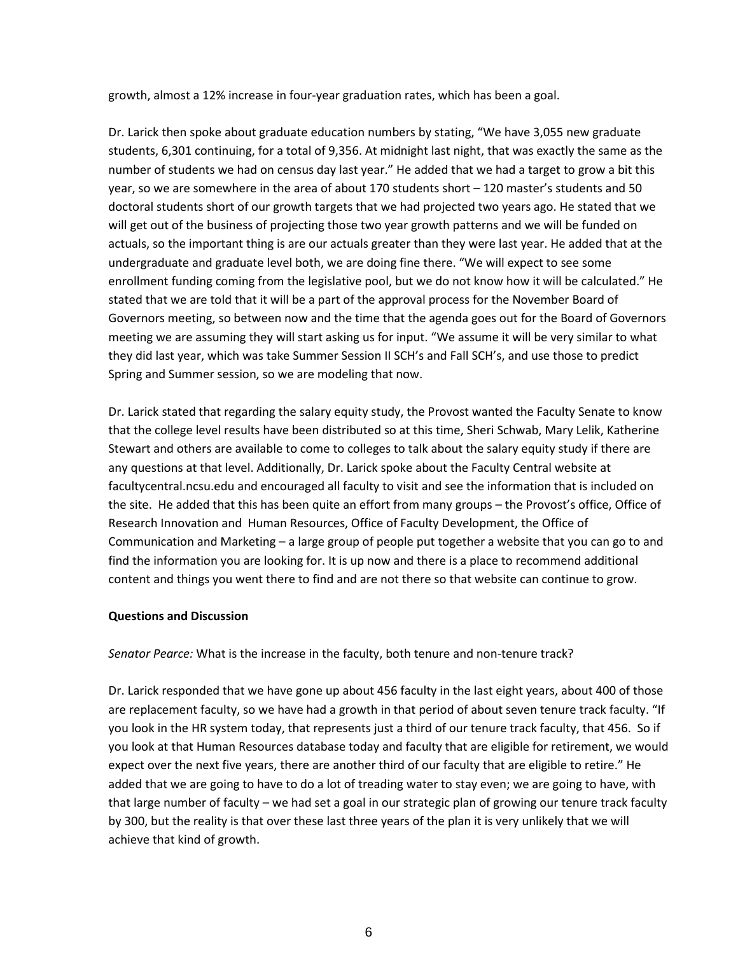growth, almost a 12% increase in four-year graduation rates, which has been a goal.

Dr. Larick then spoke about graduate education numbers by stating, "We have 3,055 new graduate students, 6,301 continuing, for a total of 9,356. At midnight last night, that was exactly the same as the number of students we had on census day last year." He added that we had a target to grow a bit this year, so we are somewhere in the area of about 170 students short – 120 master's students and 50 doctoral students short of our growth targets that we had projected two years ago. He stated that we will get out of the business of projecting those two year growth patterns and we will be funded on actuals, so the important thing is are our actuals greater than they were last year. He added that at the undergraduate and graduate level both, we are doing fine there. "We will expect to see some enrollment funding coming from the legislative pool, but we do not know how it will be calculated." He stated that we are told that it will be a part of the approval process for the November Board of Governors meeting, so between now and the time that the agenda goes out for the Board of Governors meeting we are assuming they will start asking us for input. "We assume it will be very similar to what they did last year, which was take Summer Session II SCH's and Fall SCH's, and use those to predict Spring and Summer session, so we are modeling that now.

Dr. Larick stated that regarding the salary equity study, the Provost wanted the Faculty Senate to know that the college level results have been distributed so at this time, Sheri Schwab, Mary Lelik, Katherine Stewart and others are available to come to colleges to talk about the salary equity study if there are any questions at that level. Additionally, Dr. Larick spoke about the Faculty Central website at facultycentral.ncsu.edu and encouraged all faculty to visit and see the information that is included on the site. He added that this has been quite an effort from many groups – the Provost's office, Office of Research Innovation and Human Resources, Office of Faculty Development, the Office of Communication and Marketing – a large group of people put together a website that you can go to and find the information you are looking for. It is up now and there is a place to recommend additional content and things you went there to find and are not there so that website can continue to grow.

# **Questions and Discussion**

*Senator Pearce:* What is the increase in the faculty, both tenure and non-tenure track?

Dr. Larick responded that we have gone up about 456 faculty in the last eight years, about 400 of those are replacement faculty, so we have had a growth in that period of about seven tenure track faculty. "If you look in the HR system today, that represents just a third of our tenure track faculty, that 456. So if you look at that Human Resources database today and faculty that are eligible for retirement, we would expect over the next five years, there are another third of our faculty that are eligible to retire." He added that we are going to have to do a lot of treading water to stay even; we are going to have, with that large number of faculty – we had set a goal in our strategic plan of growing our tenure track faculty by 300, but the reality is that over these last three years of the plan it is very unlikely that we will achieve that kind of growth.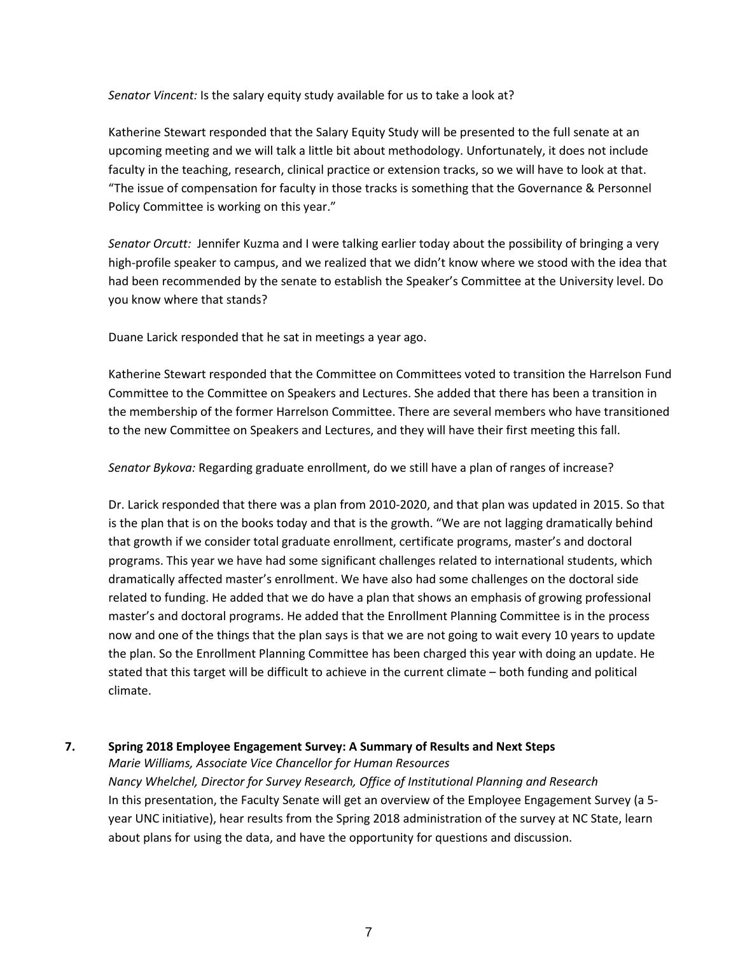*Senator Vincent:* Is the salary equity study available for us to take a look at?

Katherine Stewart responded that the Salary Equity Study will be presented to the full senate at an upcoming meeting and we will talk a little bit about methodology. Unfortunately, it does not include faculty in the teaching, research, clinical practice or extension tracks, so we will have to look at that. "The issue of compensation for faculty in those tracks is something that the Governance & Personnel Policy Committee is working on this year."

*Senator Orcutt:* Jennifer Kuzma and I were talking earlier today about the possibility of bringing a very high-profile speaker to campus, and we realized that we didn't know where we stood with the idea that had been recommended by the senate to establish the Speaker's Committee at the University level. Do you know where that stands?

Duane Larick responded that he sat in meetings a year ago.

Katherine Stewart responded that the Committee on Committees voted to transition the Harrelson Fund Committee to the Committee on Speakers and Lectures. She added that there has been a transition in the membership of the former Harrelson Committee. There are several members who have transitioned to the new Committee on Speakers and Lectures, and they will have their first meeting this fall.

*Senator Bykova:* Regarding graduate enrollment, do we still have a plan of ranges of increase?

Dr. Larick responded that there was a plan from 2010-2020, and that plan was updated in 2015. So that is the plan that is on the books today and that is the growth. "We are not lagging dramatically behind that growth if we consider total graduate enrollment, certificate programs, master's and doctoral programs. This year we have had some significant challenges related to international students, which dramatically affected master's enrollment. We have also had some challenges on the doctoral side related to funding. He added that we do have a plan that shows an emphasis of growing professional master's and doctoral programs. He added that the Enrollment Planning Committee is in the process now and one of the things that the plan says is that we are not going to wait every 10 years to update the plan. So the Enrollment Planning Committee has been charged this year with doing an update. He stated that this target will be difficult to achieve in the current climate – both funding and political climate.

# **7. Spring 2018 Employee Engagement Survey: A Summary of Results and Next Steps**

*Marie Williams, Associate Vice Chancellor for Human Resources Nancy Whelchel, Director for Survey Research, Office of Institutional Planning and Research*  In this presentation, the Faculty Senate will get an overview of the Employee Engagement Survey (a 5 year UNC initiative), hear results from the Spring 2018 administration of the survey at NC State, learn about plans for using the data, and have the opportunity for questions and discussion.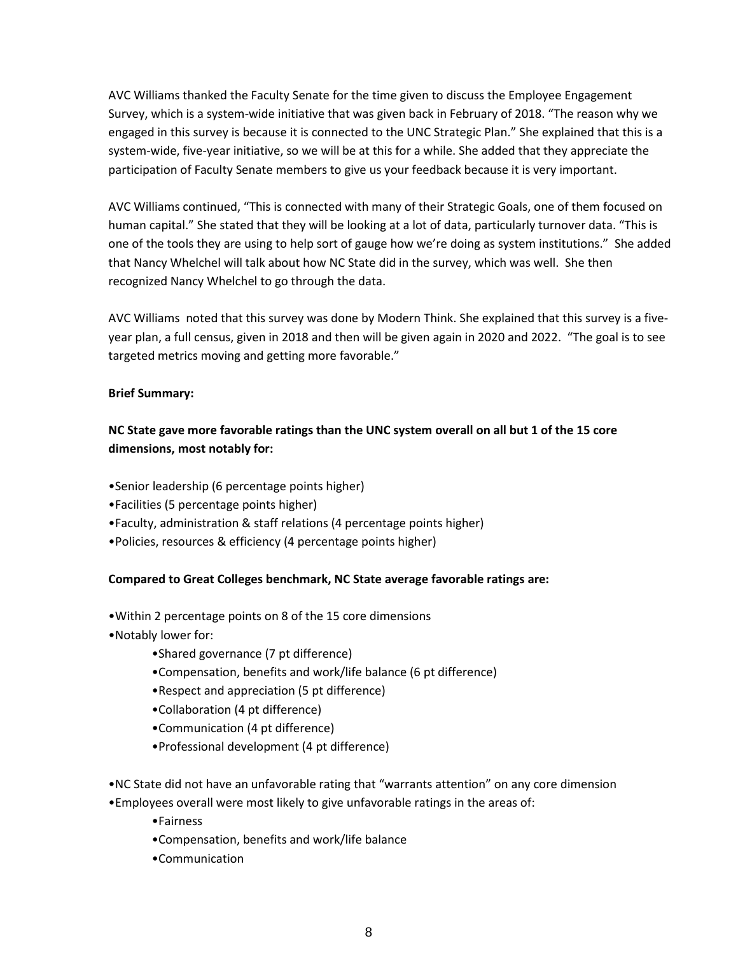AVC Williams thanked the Faculty Senate for the time given to discuss the Employee Engagement Survey, which is a system-wide initiative that was given back in February of 2018. "The reason why we engaged in this survey is because it is connected to the UNC Strategic Plan." She explained that this is a system-wide, five-year initiative, so we will be at this for a while. She added that they appreciate the participation of Faculty Senate members to give us your feedback because it is very important.

AVC Williams continued, "This is connected with many of their Strategic Goals, one of them focused on human capital." She stated that they will be looking at a lot of data, particularly turnover data. "This is one of the tools they are using to help sort of gauge how we're doing as system institutions." She added that Nancy Whelchel will talk about how NC State did in the survey, which was well. She then recognized Nancy Whelchel to go through the data.

AVC Williams noted that this survey was done by Modern Think. She explained that this survey is a fiveyear plan, a full census, given in 2018 and then will be given again in 2020 and 2022. "The goal is to see targeted metrics moving and getting more favorable."

# **Brief Summary:**

# **NC State gave more favorable ratings than the UNC system overall on all but 1 of the 15 core dimensions, most notably for:**

- •Senior leadership (6 percentage points higher)
- •Facilities (5 percentage points higher)
- •Faculty, administration & staff relations (4 percentage points higher)
- •Policies, resources & efficiency (4 percentage points higher)

# **Compared to Great Colleges benchmark, NC State average favorable ratings are:**

- •Within 2 percentage points on 8 of the 15 core dimensions
- •Notably lower for:
	- •Shared governance (7 pt difference)
	- •Compensation, benefits and work/life balance (6 pt difference)
	- •Respect and appreciation (5 pt difference)
	- •Collaboration (4 pt difference)
	- •Communication (4 pt difference)
	- •Professional development (4 pt difference)
- •NC State did not have an unfavorable rating that "warrants attention" on any core dimension
- •Employees overall were most likely to give unfavorable ratings in the areas of:
	- •Fairness
	- •Compensation, benefits and work/life balance
	- •Communication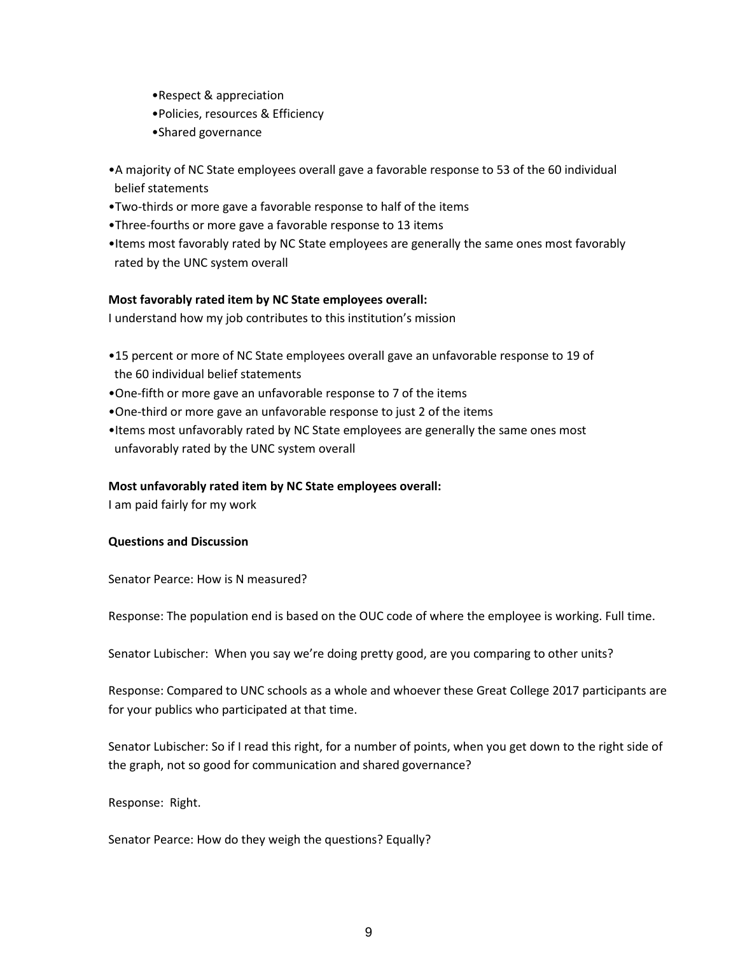- •Respect & appreciation
- •Policies, resources & Efficiency
- •Shared governance
- •A majority of NC State employees overall gave a favorable response to 53 of the 60 individual belief statements
- •Two-thirds or more gave a favorable response to half of the items
- •Three-fourths or more gave a favorable response to 13 items
- •Items most favorably rated by NC State employees are generally the same ones most favorably rated by the UNC system overall

# **Most favorably rated item by NC State employees overall:**

I understand how my job contributes to this institution's mission

- •15 percent or more of NC State employees overall gave an unfavorable response to 19 of the 60 individual belief statements
- •One-fifth or more gave an unfavorable response to 7 of the items
- •One-third or more gave an unfavorable response to just 2 of the items
- •Items most unfavorably rated by NC State employees are generally the same ones most unfavorably rated by the UNC system overall

# **Most unfavorably rated item by NC State employees overall:**

I am paid fairly for my work

# **Questions and Discussion**

Senator Pearce: How is N measured?

Response: The population end is based on the OUC code of where the employee is working. Full time.

Senator Lubischer: When you say we're doing pretty good, are you comparing to other units?

Response: Compared to UNC schools as a whole and whoever these Great College 2017 participants are for your publics who participated at that time.

Senator Lubischer: So if I read this right, for a number of points, when you get down to the right side of the graph, not so good for communication and shared governance?

Response: Right.

Senator Pearce: How do they weigh the questions? Equally?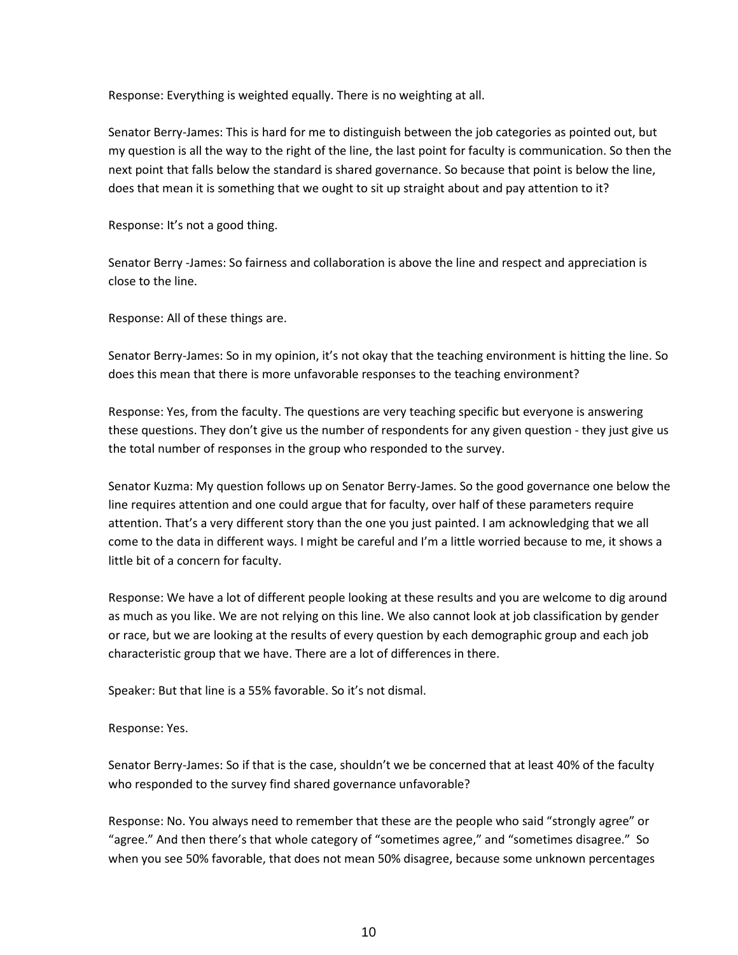Response: Everything is weighted equally. There is no weighting at all.

Senator Berry-James: This is hard for me to distinguish between the job categories as pointed out, but my question is all the way to the right of the line, the last point for faculty is communication. So then the next point that falls below the standard is shared governance. So because that point is below the line, does that mean it is something that we ought to sit up straight about and pay attention to it?

Response: It's not a good thing.

Senator Berry -James: So fairness and collaboration is above the line and respect and appreciation is close to the line.

Response: All of these things are.

Senator Berry-James: So in my opinion, it's not okay that the teaching environment is hitting the line. So does this mean that there is more unfavorable responses to the teaching environment?

Response: Yes, from the faculty. The questions are very teaching specific but everyone is answering these questions. They don't give us the number of respondents for any given question - they just give us the total number of responses in the group who responded to the survey.

Senator Kuzma: My question follows up on Senator Berry-James. So the good governance one below the line requires attention and one could argue that for faculty, over half of these parameters require attention. That's a very different story than the one you just painted. I am acknowledging that we all come to the data in different ways. I might be careful and I'm a little worried because to me, it shows a little bit of a concern for faculty.

Response: We have a lot of different people looking at these results and you are welcome to dig around as much as you like. We are not relying on this line. We also cannot look at job classification by gender or race, but we are looking at the results of every question by each demographic group and each job characteristic group that we have. There are a lot of differences in there.

Speaker: But that line is a 55% favorable. So it's not dismal.

Response: Yes.

Senator Berry-James: So if that is the case, shouldn't we be concerned that at least 40% of the faculty who responded to the survey find shared governance unfavorable?

Response: No. You always need to remember that these are the people who said "strongly agree" or "agree." And then there's that whole category of "sometimes agree," and "sometimes disagree." So when you see 50% favorable, that does not mean 50% disagree, because some unknown percentages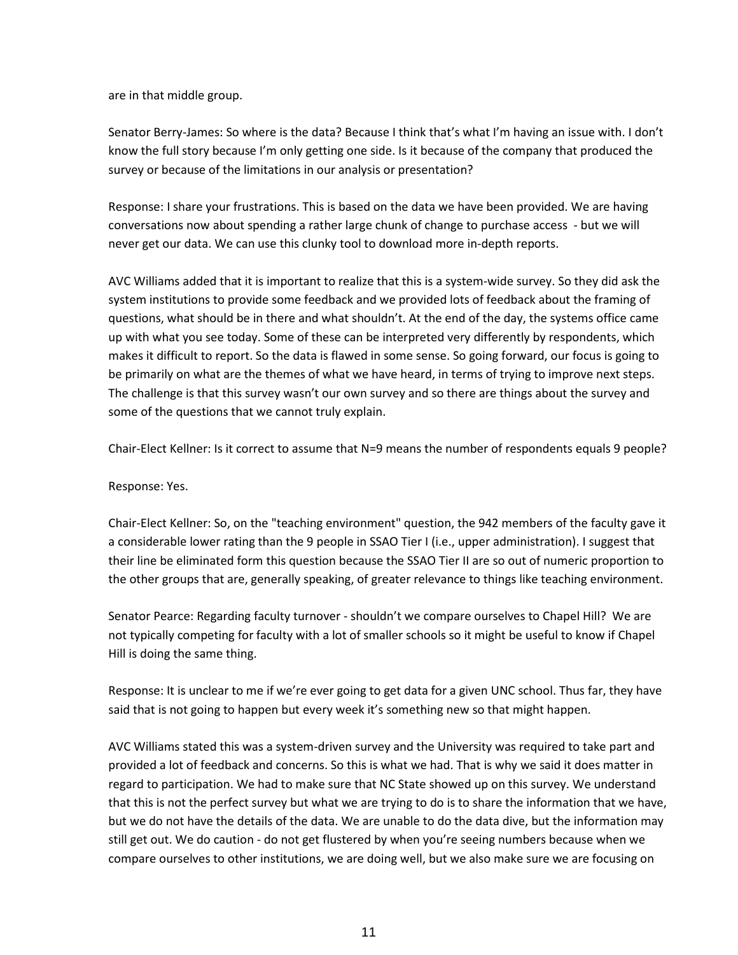are in that middle group.

Senator Berry-James: So where is the data? Because I think that's what I'm having an issue with. I don't know the full story because I'm only getting one side. Is it because of the company that produced the survey or because of the limitations in our analysis or presentation?

Response: I share your frustrations. This is based on the data we have been provided. We are having conversations now about spending a rather large chunk of change to purchase access - but we will never get our data. We can use this clunky tool to download more in-depth reports.

AVC Williams added that it is important to realize that this is a system-wide survey. So they did ask the system institutions to provide some feedback and we provided lots of feedback about the framing of questions, what should be in there and what shouldn't. At the end of the day, the systems office came up with what you see today. Some of these can be interpreted very differently by respondents, which makes it difficult to report. So the data is flawed in some sense. So going forward, our focus is going to be primarily on what are the themes of what we have heard, in terms of trying to improve next steps. The challenge is that this survey wasn't our own survey and so there are things about the survey and some of the questions that we cannot truly explain.

Chair-Elect Kellner: Is it correct to assume that N=9 means the number of respondents equals 9 people?

Response: Yes.

Chair-Elect Kellner: So, on the "teaching environment" question, the 942 members of the faculty gave it a considerable lower rating than the 9 people in SSAO Tier I (i.e., upper administration). I suggest that their line be eliminated form this question because the SSAO Tier II are so out of numeric proportion to the other groups that are, generally speaking, of greater relevance to things like teaching environment.

Senator Pearce: Regarding faculty turnover - shouldn't we compare ourselves to Chapel Hill? We are not typically competing for faculty with a lot of smaller schools so it might be useful to know if Chapel Hill is doing the same thing.

Response: It is unclear to me if we're ever going to get data for a given UNC school. Thus far, they have said that is not going to happen but every week it's something new so that might happen.

AVC Williams stated this was a system-driven survey and the University was required to take part and provided a lot of feedback and concerns. So this is what we had. That is why we said it does matter in regard to participation. We had to make sure that NC State showed up on this survey. We understand that this is not the perfect survey but what we are trying to do is to share the information that we have, but we do not have the details of the data. We are unable to do the data dive, but the information may still get out. We do caution - do not get flustered by when you're seeing numbers because when we compare ourselves to other institutions, we are doing well, but we also make sure we are focusing on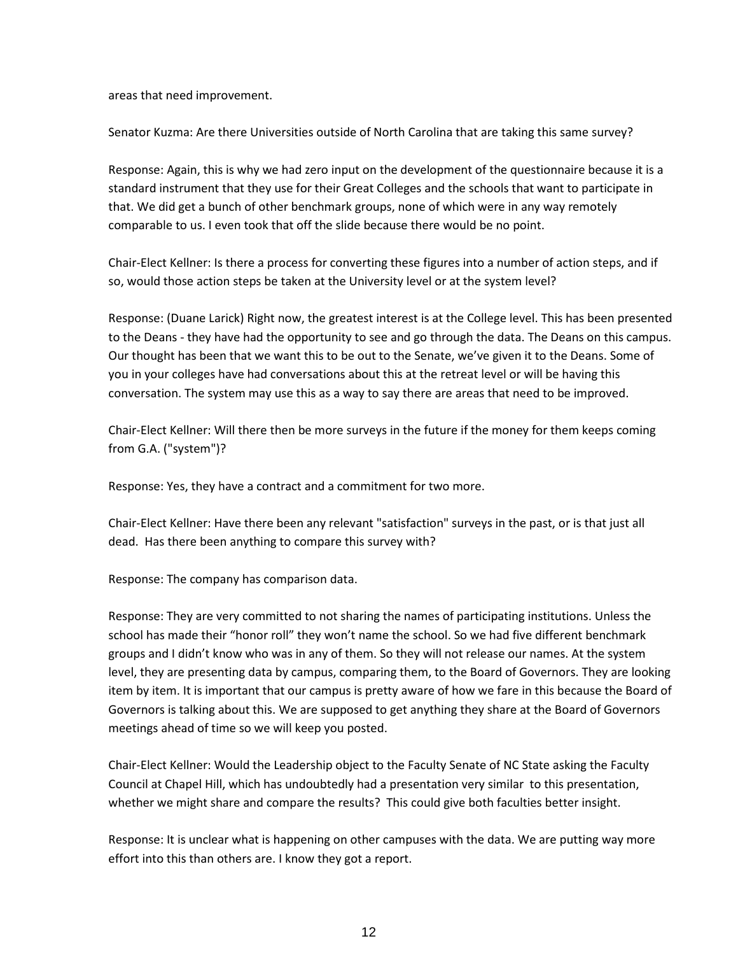areas that need improvement.

Senator Kuzma: Are there Universities outside of North Carolina that are taking this same survey?

Response: Again, this is why we had zero input on the development of the questionnaire because it is a standard instrument that they use for their Great Colleges and the schools that want to participate in that. We did get a bunch of other benchmark groups, none of which were in any way remotely comparable to us. I even took that off the slide because there would be no point.

Chair-Elect Kellner: Is there a process for converting these figures into a number of action steps, and if so, would those action steps be taken at the University level or at the system level?

Response: (Duane Larick) Right now, the greatest interest is at the College level. This has been presented to the Deans - they have had the opportunity to see and go through the data. The Deans on this campus. Our thought has been that we want this to be out to the Senate, we've given it to the Deans. Some of you in your colleges have had conversations about this at the retreat level or will be having this conversation. The system may use this as a way to say there are areas that need to be improved.

Chair-Elect Kellner: Will there then be more surveys in the future if the money for them keeps coming from G.A. ("system")?

Response: Yes, they have a contract and a commitment for two more.

Chair-Elect Kellner: Have there been any relevant "satisfaction" surveys in the past, or is that just all dead. Has there been anything to compare this survey with?

Response: The company has comparison data.

Response: They are very committed to not sharing the names of participating institutions. Unless the school has made their "honor roll" they won't name the school. So we had five different benchmark groups and I didn't know who was in any of them. So they will not release our names. At the system level, they are presenting data by campus, comparing them, to the Board of Governors. They are looking item by item. It is important that our campus is pretty aware of how we fare in this because the Board of Governors is talking about this. We are supposed to get anything they share at the Board of Governors meetings ahead of time so we will keep you posted.

Chair-Elect Kellner: Would the Leadership object to the Faculty Senate of NC State asking the Faculty Council at Chapel Hill, which has undoubtedly had a presentation very similar to this presentation, whether we might share and compare the results? This could give both faculties better insight.

Response: It is unclear what is happening on other campuses with the data. We are putting way more effort into this than others are. I know they got a report.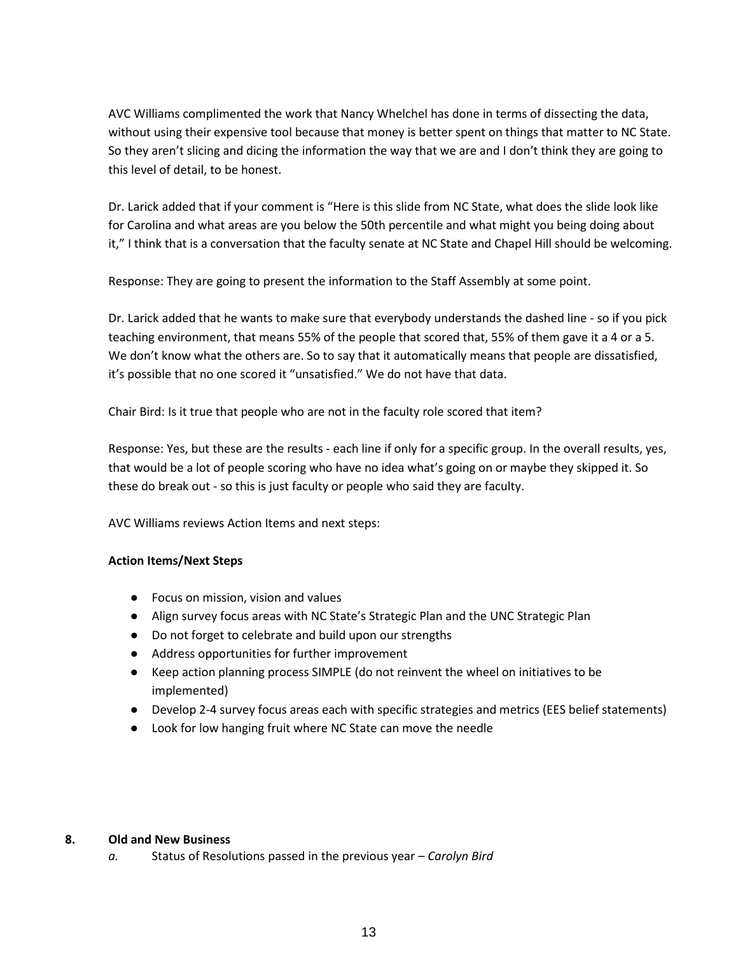AVC Williams complimented the work that Nancy Whelchel has done in terms of dissecting the data, without using their expensive tool because that money is better spent on things that matter to NC State. So they aren't slicing and dicing the information the way that we are and I don't think they are going to this level of detail, to be honest.

Dr. Larick added that if your comment is "Here is this slide from NC State, what does the slide look like for Carolina and what areas are you below the 50th percentile and what might you being doing about it," I think that is a conversation that the faculty senate at NC State and Chapel Hill should be welcoming.

Response: They are going to present the information to the Staff Assembly at some point.

Dr. Larick added that he wants to make sure that everybody understands the dashed line - so if you pick teaching environment, that means 55% of the people that scored that, 55% of them gave it a 4 or a 5. We don't know what the others are. So to say that it automatically means that people are dissatisfied, it's possible that no one scored it "unsatisfied." We do not have that data.

Chair Bird: Is it true that people who are not in the faculty role scored that item?

Response: Yes, but these are the results - each line if only for a specific group. In the overall results, yes, that would be a lot of people scoring who have no idea what's going on or maybe they skipped it. So these do break out - so this is just faculty or people who said they are faculty.

AVC Williams reviews Action Items and next steps:

# **Action Items/Next Steps**

- Focus on mission, vision and values
- Align survey focus areas with NC State's Strategic Plan and the UNC Strategic Plan
- Do not forget to celebrate and build upon our strengths
- Address opportunities for further improvement
- Keep action planning process SIMPLE (do not reinvent the wheel on initiatives to be implemented)
- Develop 2-4 survey focus areas each with specific strategies and metrics (EES belief statements)
- Look for low hanging fruit where NC State can move the needle

# **8. Old and New Business**

*a.* Status of Resolutions passed in the previous year – *Carolyn Bird*